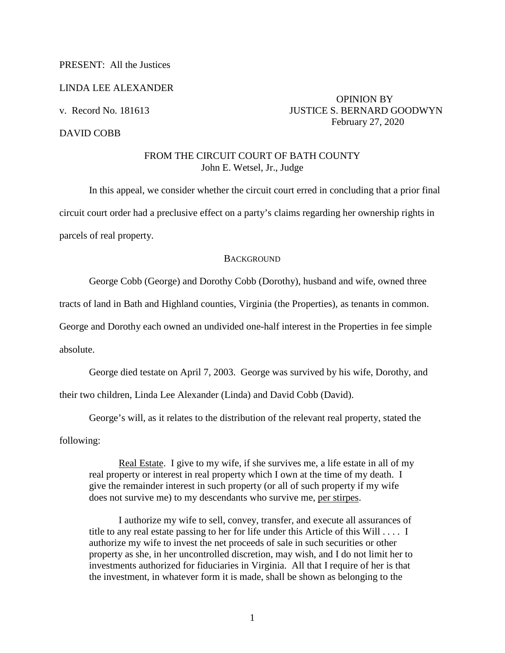## PRESENT: All the Justices

#### LINDA LEE ALEXANDER

### DAVID COBB

# OPINION BY v. Record No. 181613 JUSTICE S. BERNARD GOODWYN February 27, 2020

## FROM THE CIRCUIT COURT OF BATH COUNTY John E. Wetsel, Jr., Judge

In this appeal, we consider whether the circuit court erred in concluding that a prior final circuit court order had a preclusive effect on a party's claims regarding her ownership rights in parcels of real property.

### **BACKGROUND**

George Cobb (George) and Dorothy Cobb (Dorothy), husband and wife, owned three

tracts of land in Bath and Highland counties, Virginia (the Properties), as tenants in common.

George and Dorothy each owned an undivided one-half interest in the Properties in fee simple

absolute.

George died testate on April 7, 2003. George was survived by his wife, Dorothy, and

their two children, Linda Lee Alexander (Linda) and David Cobb (David).

George's will, as it relates to the distribution of the relevant real property, stated the

following:

Real Estate. I give to my wife, if she survives me, a life estate in all of my real property or interest in real property which I own at the time of my death. I give the remainder interest in such property (or all of such property if my wife does not survive me) to my descendants who survive me, per stirpes.

I authorize my wife to sell, convey, transfer, and execute all assurances of title to any real estate passing to her for life under this Article of this Will . . . . I authorize my wife to invest the net proceeds of sale in such securities or other property as she, in her uncontrolled discretion, may wish, and I do not limit her to investments authorized for fiduciaries in Virginia. All that I require of her is that the investment, in whatever form it is made, shall be shown as belonging to the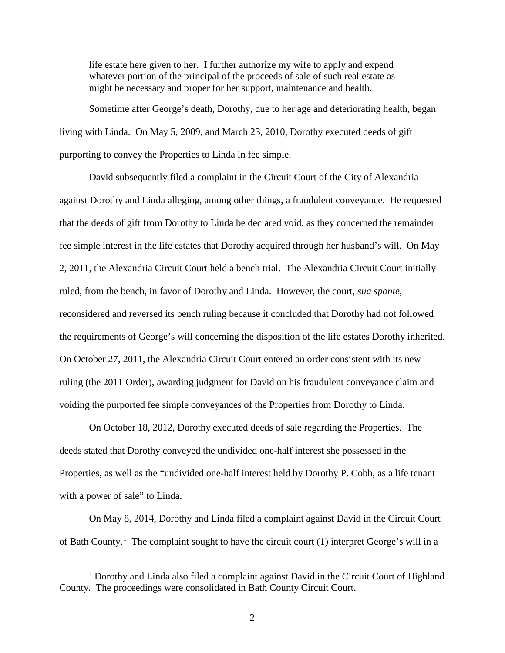life estate here given to her. I further authorize my wife to apply and expend whatever portion of the principal of the proceeds of sale of such real estate as might be necessary and proper for her support, maintenance and health.

Sometime after George's death, Dorothy, due to her age and deteriorating health, began living with Linda. On May 5, 2009, and March 23, 2010, Dorothy executed deeds of gift purporting to convey the Properties to Linda in fee simple.

David subsequently filed a complaint in the Circuit Court of the City of Alexandria against Dorothy and Linda alleging, among other things, a fraudulent conveyance. He requested that the deeds of gift from Dorothy to Linda be declared void, as they concerned the remainder fee simple interest in the life estates that Dorothy acquired through her husband's will. On May 2, 2011, the Alexandria Circuit Court held a bench trial. The Alexandria Circuit Court initially ruled, from the bench, in favor of Dorothy and Linda. However, the court, *sua sponte*, reconsidered and reversed its bench ruling because it concluded that Dorothy had not followed the requirements of George's will concerning the disposition of the life estates Dorothy inherited. On October 27, 2011, the Alexandria Circuit Court entered an order consistent with its new ruling (the 2011 Order), awarding judgment for David on his fraudulent conveyance claim and voiding the purported fee simple conveyances of the Properties from Dorothy to Linda.

On October 18, 2012, Dorothy executed deeds of sale regarding the Properties. The deeds stated that Dorothy conveyed the undivided one-half interest she possessed in the Properties, as well as the "undivided one-half interest held by Dorothy P. Cobb, as a life tenant with a power of sale" to Linda.

On May 8, 2014, Dorothy and Linda filed a complaint against David in the Circuit Court of Bath County.<sup>1</sup> The complaint sought to have the circuit court (1) interpret George's will in a

<sup>&</sup>lt;sup>1</sup> Dorothy and Linda also filed a complaint against David in the Circuit Court of Highland County. The proceedings were consolidated in Bath County Circuit Court.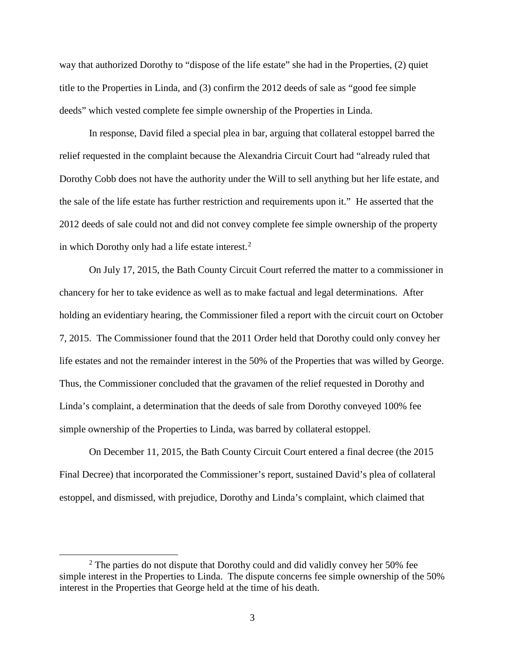way that authorized Dorothy to "dispose of the life estate" she had in the Properties, (2) quiet title to the Properties in Linda, and (3) confirm the 2012 deeds of sale as "good fee simple deeds" which vested complete fee simple ownership of the Properties in Linda.

In response, David filed a special plea in bar, arguing that collateral estoppel barred the relief requested in the complaint because the Alexandria Circuit Court had "already ruled that Dorothy Cobb does not have the authority under the Will to sell anything but her life estate, and the sale of the life estate has further restriction and requirements upon it." He asserted that the 2012 deeds of sale could not and did not convey complete fee simple ownership of the property in which Dorothy only had a life estate interest. $<sup>2</sup>$ </sup>

On July 17, 2015, the Bath County Circuit Court referred the matter to a commissioner in chancery for her to take evidence as well as to make factual and legal determinations. After holding an evidentiary hearing, the Commissioner filed a report with the circuit court on October 7, 2015. The Commissioner found that the 2011 Order held that Dorothy could only convey her life estates and not the remainder interest in the 50% of the Properties that was willed by George. Thus, the Commissioner concluded that the gravamen of the relief requested in Dorothy and Linda's complaint, a determination that the deeds of sale from Dorothy conveyed 100% fee simple ownership of the Properties to Linda, was barred by collateral estoppel.

On December 11, 2015, the Bath County Circuit Court entered a final decree (the 2015 Final Decree) that incorporated the Commissioner's report, sustained David's plea of collateral estoppel, and dismissed, with prejudice, Dorothy and Linda's complaint, which claimed that

 <sup>2</sup>  $2$  The parties do not dispute that Dorothy could and did validly convey her 50% fee simple interest in the Properties to Linda. The dispute concerns fee simple ownership of the 50% interest in the Properties that George held at the time of his death.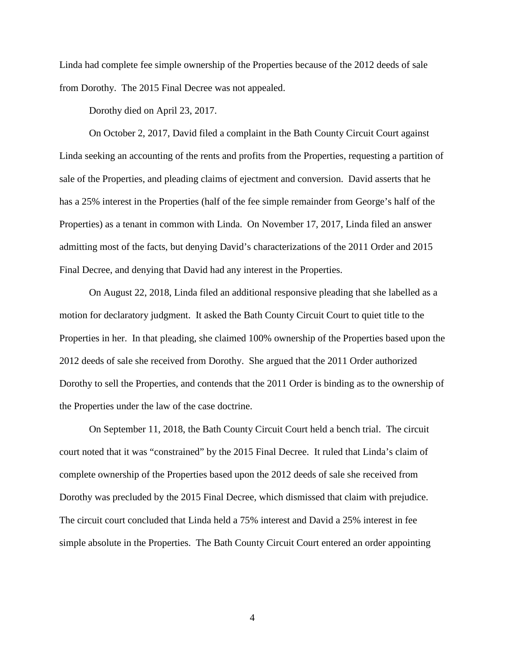Linda had complete fee simple ownership of the Properties because of the 2012 deeds of sale from Dorothy. The 2015 Final Decree was not appealed.

Dorothy died on April 23, 2017.

 On October 2, 2017, David filed a complaint in the Bath County Circuit Court against Linda seeking an accounting of the rents and profits from the Properties, requesting a partition of sale of the Properties, and pleading claims of ejectment and conversion. David asserts that he has a 25% interest in the Properties (half of the fee simple remainder from George's half of the Properties) as a tenant in common with Linda. On November 17, 2017, Linda filed an answer admitting most of the facts, but denying David's characterizations of the 2011 Order and 2015 Final Decree, and denying that David had any interest in the Properties.

 On August 22, 2018, Linda filed an additional responsive pleading that she labelled as a motion for declaratory judgment. It asked the Bath County Circuit Court to quiet title to the Properties in her. In that pleading, she claimed 100% ownership of the Properties based upon the 2012 deeds of sale she received from Dorothy. She argued that the 2011 Order authorized Dorothy to sell the Properties, and contends that the 2011 Order is binding as to the ownership of the Properties under the law of the case doctrine.

On September 11, 2018, the Bath County Circuit Court held a bench trial. The circuit court noted that it was "constrained" by the 2015 Final Decree. It ruled that Linda's claim of complete ownership of the Properties based upon the 2012 deeds of sale she received from Dorothy was precluded by the 2015 Final Decree, which dismissed that claim with prejudice. The circuit court concluded that Linda held a 75% interest and David a 25% interest in fee simple absolute in the Properties. The Bath County Circuit Court entered an order appointing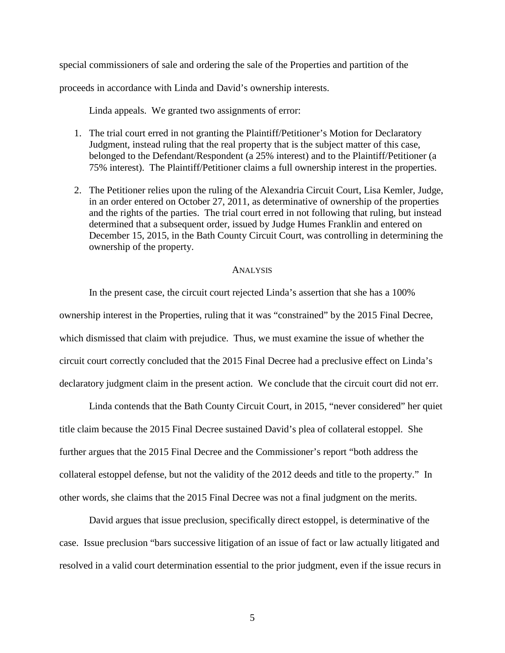special commissioners of sale and ordering the sale of the Properties and partition of the

proceeds in accordance with Linda and David's ownership interests.

Linda appeals. We granted two assignments of error:

- 1. The trial court erred in not granting the Plaintiff/Petitioner's Motion for Declaratory Judgment, instead ruling that the real property that is the subject matter of this case, belonged to the Defendant/Respondent (a 25% interest) and to the Plaintiff/Petitioner (a 75% interest). The Plaintiff/Petitioner claims a full ownership interest in the properties.
- 2. The Petitioner relies upon the ruling of the Alexandria Circuit Court, Lisa Kemler, Judge, in an order entered on October 27, 2011, as determinative of ownership of the properties and the rights of the parties. The trial court erred in not following that ruling, but instead determined that a subsequent order, issued by Judge Humes Franklin and entered on December 15, 2015, in the Bath County Circuit Court, was controlling in determining the ownership of the property.

#### **ANALYSIS**

In the present case, the circuit court rejected Linda's assertion that she has a 100% ownership interest in the Properties, ruling that it was "constrained" by the 2015 Final Decree, which dismissed that claim with prejudice. Thus, we must examine the issue of whether the circuit court correctly concluded that the 2015 Final Decree had a preclusive effect on Linda's declaratory judgment claim in the present action. We conclude that the circuit court did not err.

Linda contends that the Bath County Circuit Court, in 2015, "never considered" her quiet title claim because the 2015 Final Decree sustained David's plea of collateral estoppel. She further argues that the 2015 Final Decree and the Commissioner's report "both address the collateral estoppel defense, but not the validity of the 2012 deeds and title to the property." In other words, she claims that the 2015 Final Decree was not a final judgment on the merits.

David argues that issue preclusion, specifically direct estoppel, is determinative of the case. Issue preclusion "bars successive litigation of an issue of fact or law actually litigated and resolved in a valid court determination essential to the prior judgment, even if the issue recurs in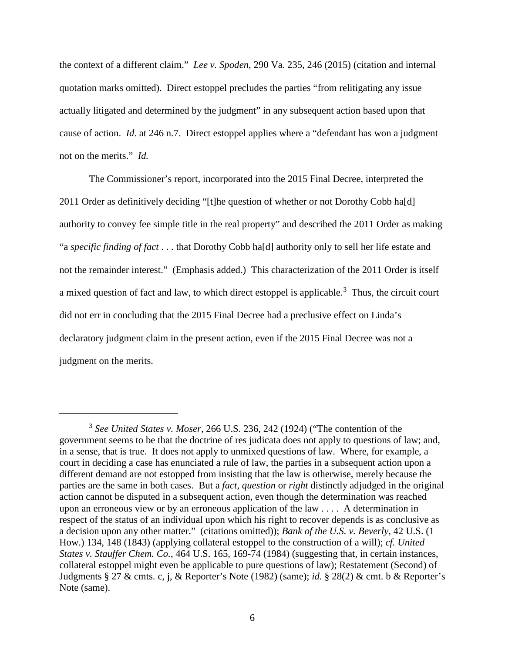the context of a different claim." *Lee v. Spoden*, 290 Va. 235, 246 (2015) (citation and internal quotation marks omitted). Direct estoppel precludes the parties "from relitigating any issue actually litigated and determined by the judgment" in any subsequent action based upon that cause of action. *Id*. at 246 n.7. Direct estoppel applies where a "defendant has won a judgment not on the merits." *Id.*

The Commissioner's report, incorporated into the 2015 Final Decree, interpreted the 2011 Order as definitively deciding "[t]he question of whether or not Dorothy Cobb ha[d] authority to convey fee simple title in the real property" and described the 2011 Order as making "a *specific finding of fact* . . . that Dorothy Cobb ha[d] authority only to sell her life estate and not the remainder interest." (Emphasis added.) This characterization of the 2011 Order is itself a mixed question of fact and law, to which direct estoppel is applicable.<sup>3</sup> Thus, the circuit court did not err in concluding that the 2015 Final Decree had a preclusive effect on Linda's declaratory judgment claim in the present action, even if the 2015 Final Decree was not a judgment on the merits.

 $\overline{a}$ 

<sup>3</sup> *See United States v. Moser*, 266 U.S. 236, 242 (1924) ("The contention of the government seems to be that the doctrine of res judicata does not apply to questions of law; and, in a sense, that is true. It does not apply to unmixed questions of law. Where, for example, a court in deciding a case has enunciated a rule of law, the parties in a subsequent action upon a different demand are not estopped from insisting that the law is otherwise, merely because the parties are the same in both cases. But a *fact*, *question* or *right* distinctly adjudged in the original action cannot be disputed in a subsequent action, even though the determination was reached upon an erroneous view or by an erroneous application of the law . . . . A determination in respect of the status of an individual upon which his right to recover depends is as conclusive as a decision upon any other matter." (citations omitted)); *Bank of the U.S. v. Beverly*, 42 U.S. (1 How.) 134, 148 (1843) (applying collateral estoppel to the construction of a will); *cf. United States v. Stauffer Chem. Co.*, 464 U.S. 165, 169-74 (1984) (suggesting that, in certain instances, collateral estoppel might even be applicable to pure questions of law); Restatement (Second) of Judgments § 27 & cmts. c, j, & Reporter's Note (1982) (same); *id.* § 28(2) & cmt. b & Reporter's Note (same).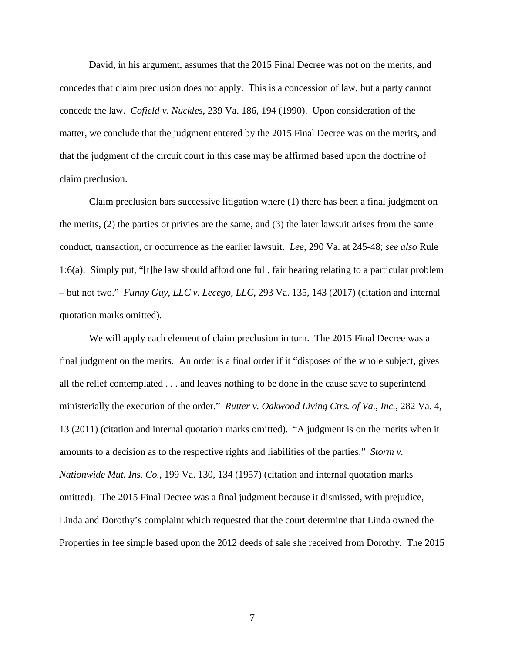David, in his argument, assumes that the 2015 Final Decree was not on the merits, and concedes that claim preclusion does not apply. This is a concession of law, but a party cannot concede the law. *Cofield v. Nuckles*, 239 Va. 186, 194 (1990). Upon consideration of the matter, we conclude that the judgment entered by the 2015 Final Decree was on the merits, and that the judgment of the circuit court in this case may be affirmed based upon the doctrine of claim preclusion.

Claim preclusion bars successive litigation where (1) there has been a final judgment on the merits, (2) the parties or privies are the same, and (3) the later lawsuit arises from the same conduct, transaction, or occurrence as the earlier lawsuit. *Lee*, 290 Va. at 245-48; *see also* Rule 1:6(a). Simply put, "[t]he law should afford one full, fair hearing relating to a particular problem – but not two." *Funny Guy, LLC v. Lecego, LLC*, 293 Va. 135, 143 (2017) (citation and internal quotation marks omitted).

We will apply each element of claim preclusion in turn. The 2015 Final Decree was a final judgment on the merits. An order is a final order if it "disposes of the whole subject, gives all the relief contemplated . . . and leaves nothing to be done in the cause save to superintend ministerially the execution of the order." *Rutter v. Oakwood Living Ctrs. of Va., Inc.*, 282 Va. 4, 13 (2011) (citation and internal quotation marks omitted). "A judgment is on the merits when it amounts to a decision as to the respective rights and liabilities of the parties." *Storm v. Nationwide Mut. Ins. Co.*, 199 Va. 130, 134 (1957) (citation and internal quotation marks omitted). The 2015 Final Decree was a final judgment because it dismissed, with prejudice, Linda and Dorothy's complaint which requested that the court determine that Linda owned the Properties in fee simple based upon the 2012 deeds of sale she received from Dorothy. The 2015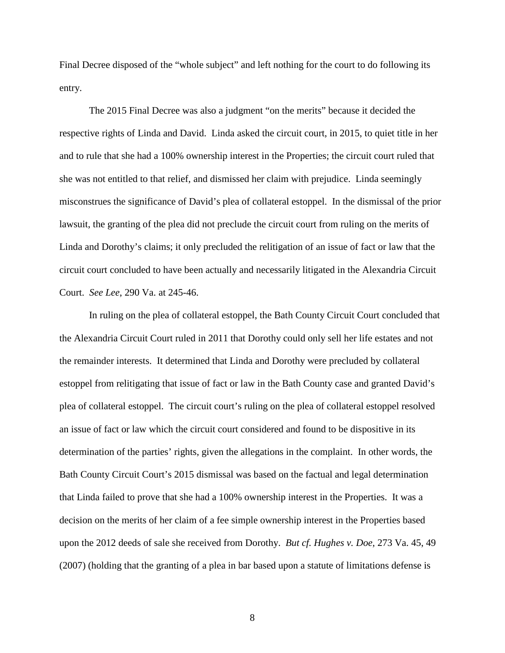Final Decree disposed of the "whole subject" and left nothing for the court to do following its entry.

The 2015 Final Decree was also a judgment "on the merits" because it decided the respective rights of Linda and David. Linda asked the circuit court, in 2015, to quiet title in her and to rule that she had a 100% ownership interest in the Properties; the circuit court ruled that she was not entitled to that relief, and dismissed her claim with prejudice. Linda seemingly misconstrues the significance of David's plea of collateral estoppel. In the dismissal of the prior lawsuit, the granting of the plea did not preclude the circuit court from ruling on the merits of Linda and Dorothy's claims; it only precluded the relitigation of an issue of fact or law that the circuit court concluded to have been actually and necessarily litigated in the Alexandria Circuit Court. *See Lee*, 290 Va. at 245-46.

In ruling on the plea of collateral estoppel, the Bath County Circuit Court concluded that the Alexandria Circuit Court ruled in 2011 that Dorothy could only sell her life estates and not the remainder interests. It determined that Linda and Dorothy were precluded by collateral estoppel from relitigating that issue of fact or law in the Bath County case and granted David's plea of collateral estoppel. The circuit court's ruling on the plea of collateral estoppel resolved an issue of fact or law which the circuit court considered and found to be dispositive in its determination of the parties' rights, given the allegations in the complaint. In other words, the Bath County Circuit Court's 2015 dismissal was based on the factual and legal determination that Linda failed to prove that she had a 100% ownership interest in the Properties. It was a decision on the merits of her claim of a fee simple ownership interest in the Properties based upon the 2012 deeds of sale she received from Dorothy. *But cf. Hughes v. Doe*, 273 Va. 45, 49 (2007) (holding that the granting of a plea in bar based upon a statute of limitations defense is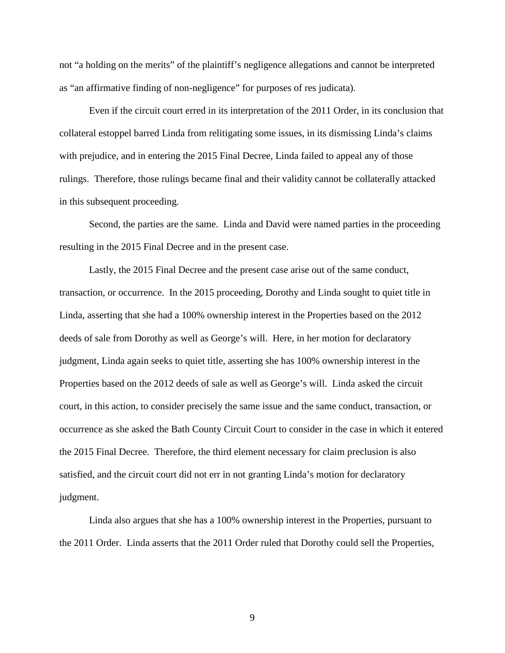not "a holding on the merits" of the plaintiff's negligence allegations and cannot be interpreted as "an affirmative finding of non-negligence" for purposes of res judicata).

Even if the circuit court erred in its interpretation of the 2011 Order, in its conclusion that collateral estoppel barred Linda from relitigating some issues, in its dismissing Linda's claims with prejudice, and in entering the 2015 Final Decree, Linda failed to appeal any of those rulings. Therefore, those rulings became final and their validity cannot be collaterally attacked in this subsequent proceeding.

 Second, the parties are the same. Linda and David were named parties in the proceeding resulting in the 2015 Final Decree and in the present case.

Lastly, the 2015 Final Decree and the present case arise out of the same conduct, transaction, or occurrence. In the 2015 proceeding, Dorothy and Linda sought to quiet title in Linda, asserting that she had a 100% ownership interest in the Properties based on the 2012 deeds of sale from Dorothy as well as George's will. Here, in her motion for declaratory judgment, Linda again seeks to quiet title, asserting she has 100% ownership interest in the Properties based on the 2012 deeds of sale as well as George's will. Linda asked the circuit court, in this action, to consider precisely the same issue and the same conduct, transaction, or occurrence as she asked the Bath County Circuit Court to consider in the case in which it entered the 2015 Final Decree. Therefore, the third element necessary for claim preclusion is also satisfied, and the circuit court did not err in not granting Linda's motion for declaratory judgment.

Linda also argues that she has a 100% ownership interest in the Properties, pursuant to the 2011 Order. Linda asserts that the 2011 Order ruled that Dorothy could sell the Properties,